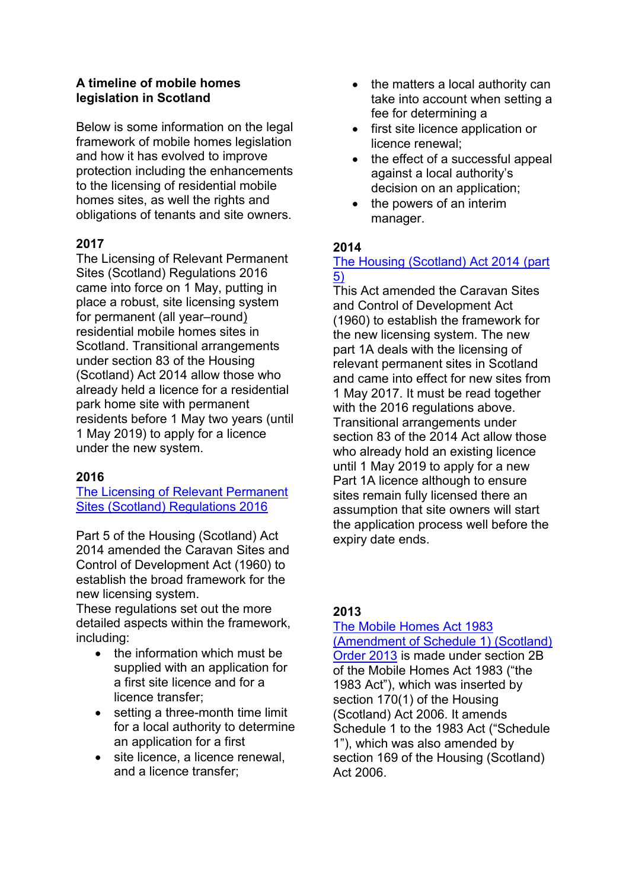## **A timeline of mobile homes legislation in Scotland**

Below is some information on the legal framework of mobile homes legislation and how it has evolved to improve protection including the enhancements to the licensing of residential mobile homes sites, as well the rights and obligations of tenants and site owners.

# **2017**

The Licensing of Relevant Permanent Sites (Scotland) Regulations 2016 came into force on 1 May, putting in place a robust, site licensing system for permanent (all year–round) residential mobile homes sites in Scotland. Transitional arrangements under section 83 of the Housing (Scotland) Act 2014 allow those who already held a licence for a residential park home site with permanent residents before 1 May two years (until 1 May 2019) to apply for a licence under the new system.

### **2016**

[The Licensing of Relevant Permanent](http://www.legislation.gov.uk/ssi/2016/433/regulation/4/made)  [Sites \(Scotland\) Regulations 2016](http://www.legislation.gov.uk/ssi/2016/433/regulation/4/made)

Part 5 of the Housing (Scotland) Act 2014 amended the Caravan Sites and Control of Development Act (1960) to establish the broad framework for the new licensing system.

These regulations set out the more detailed aspects within the framework, including:

- the information which must be supplied with an application for a first site licence and for a licence transfer;
- setting a three-month time limit for a local authority to determine an application for a first
- site licence, a licence renewal, and a licence transfer;
- $\bullet$  the matters a local authority can take into account when setting a fee for determining a
- first site licence application or licence renewal;
- the effect of a successful appeal against a local authority's decision on an application;
- the powers of an interim manager.

### **2014**

### [The Housing \(Scotland\) Act 2014](http://www.legislation.gov.uk/asp/2014/14/pdfs/asp_20140014_en.pdf%20-%20see%20part%205) (part [5\)](http://www.legislation.gov.uk/asp/2014/14/pdfs/asp_20140014_en.pdf%20-%20see%20part%205)

This Act amended the Caravan Sites and Control of Development Act (1960) to establish the framework for the new licensing system. The new part 1A deals with the licensing of relevant permanent sites in Scotland and came into effect for new sites from 1 May 2017. It must be read together with the 2016 regulations above. Transitional arrangements under section 83 of the 2014 Act allow those who already hold an existing licence until 1 May 2019 to apply for a new Part 1A licence although to ensure sites remain fully licensed there an assumption that site owners will start the application process well before the expiry date ends.

# **2013**

# [The Mobile Homes Act 1983](http://www.legislation.gov.uk/ssi/2013/219/contents/made)

[\(Amendment of Schedule 1\) \(Scotland\)](http://www.legislation.gov.uk/ssi/2013/219/contents/made)  [Order 2013](http://www.legislation.gov.uk/ssi/2013/219/contents/made) is made under section 2B of the Mobile Homes Act 1983 ("the 1983 Act"), which was inserted by section 170(1) of the Housing (Scotland) Act 2006. It amends Schedule 1 to the 1983 Act ("Schedule 1"), which was also amended by section 169 of the Housing (Scotland) Act 2006.